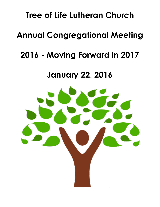# **Tree of Life Lutheran Church**

# **Annual Congregational Meeting**

# **2016 - Moving Forward in 2017**

## **January 22, 2016**

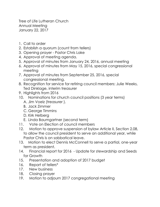Tree of Life Lutheran Church Annual Meeting January 22, 2017

- 1. Call to order
- 2. Establish a quorum (count from tellers)
- 3. Opening prayer Pastor Chris Lake
- 4. Approval of meeting agenda.
- 5. Approval of minutes from January 24, 2016, annual meeting
- 6. Approval of minutes from May 15, 2016, special congressional meeting
- 7. Approval of minutes from September 25, 2016, special congressional meeting.
- 8. Recognition for service for retiring council members: Julie Weeks, Ted Dinklage, interim treasurer
- 9. Highlights from 2016
- 10. Nominations for church council positions (3 year terms) A. Jim Voelz (treasurer ).
	- B. Jack Zimmer
	- C. George Timmins
	- D. Kirk Helberg
	- E. Linda Baumgartner (second term)
- 11. Vote on Election of council members
- 12. Motion to approve suspension of bylaw Article II, Section 2.08, to allow the council president to serve an additional year, while Pastor Chris is on sabbatical leave.
- 13. Motion to elect Dennis McConnell to serve a partial, one-year term as president.
- 14. Financial report for 2016 Update for stewardship and Seeds for Growth
- 15. Presentation and adoption of 2017 budget
- 16. Report of tellers\*
- 17. New business
- 18. Closing prayer
- 19. Motion to adjourn 2017 congregational meeting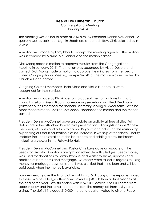### **Tree of Life Lutheran Church**

Congregational Meeting January 24, 2016

The meeting was called to order at 9:15 a.m. by President Dennis McConnell. A quorum was established. Sign-in sheets are attached. Rev. Chris Lake led us in prayer.

A motion was made by Larry Klotz to accept the meeting agenda. The motion was seconded by Maxine McConnell and the motion carried.

Dick Mong made a motion to approve minutes from the Congregational Meeting in January, 2015. The motion was seconded by Alyce Devore and carried. Dick Mong made a motion to approve the minutes from the special called Congregational Meeting on April 26, 2015. The motion was seconded by Chuck Will and carried.

Outgoing Council members: Linda Bliese and Vickie Funderburk were recognized for their service.

A motion was made by Phil Anderson to accept the nominations for church council positions; Susan Blough for recording secretary and Heidi Beckham (current council member) for financial secretary serving a 3 year term. With no other motions made, Maxine McConnell seconded the motion and the motion carried.

President Dennis McConnell gave an update on activity at Tree of Life. Full details are in the attached PowerPoint presentation. Highlights include 39 new members, 44 youth and adults to camp, 19 youth and adults on the mission trip, expanding our adult education classes, increase in worship attendance. Facility updates include restoration of the bathrooms and adding a new bathroom including a shower in the Fellowship Hall.

President Dennis McConnell and Pastor Chris Lake gave an update on the Seeds for Growth. Donations are right on schedule with pledges. Seeds money was used for donations to Family Promise and Water to Thrive, updates and addition of bathrooms and mortgage. Questions were raised in regards to using money for mortgage payments and it was clarified that it is a loan and will be paid back when the money is available.

Larry Anderson gave the financial report for 2015. A copy of the report is added to these minutes. Pledge offering was over by \$28,000 than actual pledges at the end of the year. We still ended with a \$76,000 deficit. \$56,000 came from seeds money and the remainder came from the money left from last year's giving. The deficit included \$10,000 the congregation voted to give to Pastor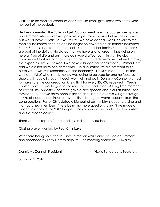Chris Lake for medical expenses and staff Christmas gifts. These two items were not part of the budget.

He then presented the 2016 budget. Council went over the budget line by line and trimmed where ever was possible to get the expenses below the income but we still have a deficit of \$46,690.69. We have added Ryan Dockery to the medical insurance since he can no longer be covered on his father's insurance. Bunny Stoutes also asked for medical insurance for her family. Both these items are part of the deficit. He stated that we have a lot of great things going on here at Tree of Life and any more cuts would affect our ministry. He also commented that we had 3% raises for the staff and did remove it when trimming the expenses. Jim Rust asked if we have a budget for seeds money. Pastor Chris said we did not have one at this time. He also stated we did not want to tie ourselves down with uncertainty of the economy. Jim Rust made a point that we had a list of what seeds money was going to be used for and he feels we should still have a list even though we might not do it. Dennis McConnell wanted to make sure the congregation knew that for every \$50,000 received in Seeds contributions we would give to the ministries we had listed. A long time member of Tree of Life, Annette Chapman gave a nice speech about our situation. She reminded us that we have been in this situation before and we will get through it. We all need to continue to have faith. It brought a warm response from the congregation. Pastor Chris stated a big part of our ministry is about growing and it attracts new members. There being no more questions, Larry Finke made a motion to approve the 2016 budget. The motion was seconded by Treva Allen and the motion carried.

There were no reports from the tellers and no new business.

Closing prayer was led by Rev. Chris Lake.

With there being no further business a motion was made by George Timmons and seconded by Larry Klotz to adjourn. The meeting ended at 10:15 a.m.

Dennis McConnell, President Vickie Funderburk, Secretary

January 24, 2016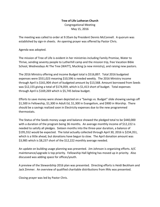### **Tree of Life Lutheran Church** Congregational Meeting May 15, 2016

The meeting was called to order at 9:35am by President Dennis McConnell. A quorum was established by sign-in sheets. An opening prayer was offered by Pastor Chris.

Agenda was adopted.

The mission of Tree of Life is evident in her ministries including Family Promise, Water to Thrive, sending seventy people to Lutherhill camp and the mission trip, free Vacation Bible School, Wednesdays At The Tree (WATT), Mucking (a new ministry), and raising new pastors.

The 2016 Ministry offering and income Budget total is \$516,897. Total 2016 budgeted expenses were \$551,023 meaning \$10,596 is needed weekly. The 2016 Ministry income through April is \$161,904 short of budgeted amount by \$13,568. Amount borrowed from Seeds was \$12,155 giving a total of \$174,059, which is \$1,413 short of budget. Total expenses through April is \$169,269 which is \$5,745 below budget.

Efforts to save money were shown depicted on a "Savings vs. Budget" slide showing savings off \$1,500 in Fellowship, \$1,300 in Adult Ed, \$1,300 in Evangelism, and \$900 in Worship. There should be a savings realized soon in Electricity expenses due to the new programmed thermostats.

The Status of the Seeds money usage and balance showed the pledged total to be \$440,000 with a duration of the program being 36 months. An average monthly income of \$12,222 is needed to satisfy all pledges. Sixteen months into the three-year duration, a balance of \$195,552 would be expected. The total actually collected through April 30, 2016 is \$234,351, which is a little ahead, but donations have begun to slow. The April donation amount was \$3,985 which is \$8,237 short of the \$12,222 monthly average needed.

An update on building usage planning was presented. Jim Johnson is organizing efforts. A/C maintenance/upgrade is top priority. Fellowship Hall lighting has moved up in priority. Also discussed was adding space for offices/youth.

A preview of the Stewardship 2016 plan was presented. Directing efforts is Heidi Beckham and Jack Zimmer. An overview of qualified charitable distributions from IRAs was presented.

Closing prayer was led by Pastor Chris.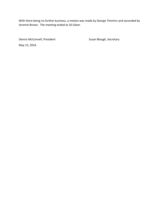With there being no further business, a motion was made by George Timmins and seconded by Jeremie Brown. The meeting ended at 10:10am.

Dennis McConnell, President **National Susan Blough, Secretary** May 15, 2016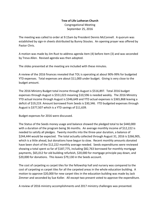### **Tree of Life Lutheran Church** Congregational Meeting September 25, 2016

The meeting was called to order at 9:15am by President Dennis McConnell. A quorum was established by sign-in sheets distributed by Bunny Stoutes. An opening prayer was offered by Pastor Chris.

A motion was made by Jim Rust to address agenda item (4) before item (3) and was seconded by Treva Allen. Revised agenda was then adopted.

The slides presented at the meeting are included with these minutes.

A review of the 2016 finances revealed that TOL is operating at about 90%-99% for budgeted YTD expenses. Total expenses are about \$11,000 under budget. Giving is very close to the budget amount.

The 2016 Ministry Budget total income through August is \$516,897. Total 2016 budget expenses through August is \$551,023 meaning \$10,596 is needed weekly. The 2016 Ministry YTD actual income through August is \$346,649 and YTD actual expenses is \$365,868 leaving a deficit of \$19,219. Amount borrowed from Seeds is \$30,346. YTD budgeted expenses through August is \$377,507 which is a YTD savings of \$11,639.

Budget expenses for 2016 were discussed.

The Status of the Seeds money usage and balance showed the pledged total to be \$440,000 with a duration of the program being 36 months. An average monthly income of \$12,222 is needed to satisfy all pledges. Twenty months into the three-year duration, a balance of \$244,444 would be expected. The total actually collected through August 31, 2016 is \$266,905, which is a little ahead, but donations have begun to slow. Recent monthly amounts donated have been short of the \$12,222 monthly average needed. Seeds expenditures were reviewed showing a total spent so far of \$187,775, including \$82,763 borrowed for monthly mortgage payments, \$65,012 for old building refurbish, \$20,000 for mortgage principle pay down, and \$20,000 for donations. This leaves \$79,130 in the Seeds account.

The cost of carpeting vs carpet tiles for the fellowship hall and nursery was compared to the cost of carpeting vs carpet tiles for all the carpeted areas in the whole education building. A motion to approve \$20,000 for new carpet tiles in the education building was made by Jack Zimmer and seconded by Sue Koller. All except two present voted to approve the expenditure.

A review of 2016 ministry accomplishments and 2017 ministry challenges was presented.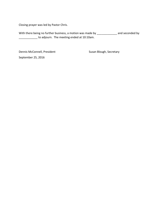Closing prayer was led by Pastor Chris.

With there being no further business, a motion was made by \_\_\_\_\_\_\_\_\_\_\_\_\_\_\_ and seconded by **with the meeting ended at 10:10am.** 

Dennis McConnell, President **National Susan Blough, Secretary** September 25, 2016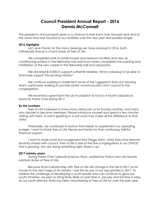## **Council President Annual Report - 2016 Dennis McConnell**

The president's annual report gives us a chance to look back over the past year and at the same time look forward to our ministries over this next year and possibly longer.

#### **2016 highlights**

 Let's give thanks for the many blessings we have received in 2016, both individually and as a church body at Tree of Life.

 We completed work to install shower and restroom facilities and new air conditioning systems in the fellowship hall and have nearly completed the painting and installation of the new carpet in the fellowship hall and classrooms.

We donated \$10,000 to support Lutherhill ministries. What a blessing to be able to financially support this exciting ministry!

 We continue working to implement some of the suggestions from our visioning team, particularly working to provide better communication from council to the congregation.

We received a grant from the Lily Foundation to fund a 4 month sabbatical leave for Pastor Chris during 2017.

#### **By the numbers**

 Tree of Life is blessed to have many visitors join us for Sunday worship, and many who decide to become members. Please introduce yourself and spend a few minutes visiting with them. A warm greeting or a soft word may make all the difference to that visitor.

 Financially, we continued to borrow from Seeds to supplement our operating budget. I want to thank Tree of Life friends and family for their continuing, faithful financial support.

 I want to share some encouragement that Peggy Hahn, LEAD Executive Director, recently shared with council. Tree of Life is one of the few congregations in our SYNOD that is growing. You are doing something right. Keep it up!

#### **2017 ministry plans**

 During Pastor Chris' sabbatical leave, Ryan, assisted by Pastor Larry will assume pastoral duties at Tree of Life.

Because Ryan's relationship with Tree of Life will change in the fall of 2017 as he moves to the next stage of his ministry. I see this as one of our top priorities in 2017. To address this challenge of developing a youth leader who can continue to grow our youth ministries, we plan to bring Emily Work on part time in January and full time in May as our youth director. Emily has been volunteering at Tree of Life for over the past year,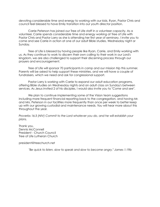devoting considerable time and energy to working with our kids. Ryan, Pastor Chris and council feel blessed to have Emily transition into our youth director position.

Carrie Peterson has joined our Tree of Life staff in a volunteer capacity. As a volunteer, Carrie spends considerable time and energy working at Tree of Life with Pastor Chris and Pastor Larry as she is attending her first year of seminary. I invite you to come and see Carrie in action at one of our adult Bible studies, Wednesday night or Sunday.

Tree of Life is blessed by having people like Ryan, Carrie, and Emily working with us. As they continue to work to discern their own calling to their work in our Lord's kingdom, we are also challenged to support their discerning process through our prayers and encouragement.

Tree of Life will sponsor 70 participants in camp and our mission trip this summer. Parents will be asked to help support these ministries, and we will have a couple of fundraisers, which we need and ask for congressional support.

 Pastor Larry is working with Carrie to expand our adult education programs, offering Bible studies on Wednesday nights and an adult class on Sunday's between services. As Jesus invited 2 of his disciples, I would also invite you to "*Come and see*".

We plan to continue implementing some of the Vision team suggestions including more frequent financial reporting back to the congregation, and having Mr. and Mrs. Peterson in our facilities more frequently than once per week to better keep up with our growing custodial and maintenance needs. You will hear more about this throughout the year.

*Proverbs 16:3 (NIV) Commit to the Lord whatever you do, and he will establish your plans.* 

Thank you, Dennis McConnell President - Church Council Tree of Life Lutheran Church

president@treechurch.net

*"Be quick to listen, slow to speak and slow to become angry," James 1:19b*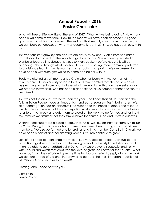### **Annual Report - 2016 Pastor Chris Lake**

What will Tree of Life look like at the end of 2017. What will we being doing? How many people will come to worship? How much money will have been donated? All good questions and all hard to answer. The reality is that we truly can't know for certain, but we can base our guesses on what was accomplished in 2016. God has been busy with us.

This year our staff grew by one and we are down by by one. Carrie Peterson came from Florida to our neck of the woods to go to seminary. She is currently enrolled at Wartburg, located in Dubuque, Iowa. Like Ryan Dockery before her, she is will be attending school through what is called distributive learning (more commonly referred to as distance learning) while working contextually in our parish. We are blessed to have people with such gifts willing to come and be her with us.

Sadly we also lost a staff member Ida Craig who has been with me for most of my ministry here. It is never easy to loose folks but I take comfort that she has a plan of bigger things in her future and that she will still be working with us on the weekends as we prepare for worship. She has been a good friend, a welcomed partner and she will be missed.

This was not the only loss we have seen this year. The floods that hit Houston and the folks in Baton Rouge made an impact for hundreds of square miles in both states. We, as a congregation had an opportunity to respond to the needs of others and respond we did. Many members of this congregation works tireless hours doing what we lovingly refer to as the "muck and gut." I am so proud of the work we performed and for the 6 to 8 families we assisted that they saw our love for church, God and Christ in our eyes.

Worship continues to be a place of growth for us as we saw an increase from 177 to 186 for 2016. During that time we also baptized 3 new members making a total of 34 new members. We also performed one funeral for long time member Curtis Bell. Overall, we have been a part of another amazing year our church continue to grow.

Last of all, I need to mentioned the work of two very special people. Jan Zuelke and Linda Baumgartner worked for months writing a grant to the Lilly Foundation so that I might be able to go on sabbatical in 2017. They were beyond successful and I only wish I could find words that captured the level of gratitude I have for their efforts. What I can say is that their efforts will give me time to stop and reflect deeply about the work we do here at Tree of Life and find answers to perhaps the most important question of all. What is God calling us to do next?

Blessings and Peace be with you,

Chris Lake Senior Pastor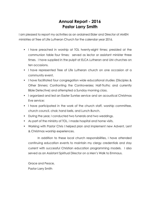## **Annual Report - 2016 Pastor Larry Smith**

I am pleased to report my activities as an ordained Elder and Director of AMEN ministries at Tree of Life Lutheran Church for the calendar year 2016.

- I have preached in worship at TOL twenty-eight times; presided at the communion table four times; served as lector or assistant minister three times. I have supplied in the pulpit at ELCA Lutheran and UM churches on ten occasions.
- I have represented Tree of Life Lutheran church on one occasion at a community event.
- I have facilitated four congregation wide educational studies (Disciples & Other Sinners; Confronting the Controversies; Half-Truths; and currently Bible Detective) and attempted a Sunday morning class.
- I organized and led an Easter Sunrise service and an acoustical Christmas Eve service;
- I have participated in the work of the church staff, worship committee, church council, choir, hand bells, and Lunch Bunch.
- During the year, I conducted two funerals and two weddings.
- As part of the ministry of TOL, I made hospital and home visits.
- Working with Pastor Chris I helped plan and implement new Advent, Lent & Christmas worship experiences.

 In addition to these local church responsibilities, I have attended continuing education events to maintain my clergy credentials and stay current with successful Christian education programming models. I also served as an Assistant Spiritual Director on a Men's Walk to Emmaus.

Grace and Peace, Pastor Larry Smith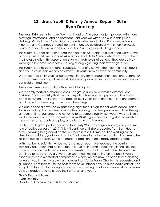## **Children, Youth & Family Annual Report - 2016 Ryan Dockery**

The year 2016 seems to have flown right past us! The year was jam packed with many blessings, milestones, and celebrations. Last year we witnessed 6 students (Jillian Helberg, Madie Lake, Caden Macha, Sarah Mittlesteadt, Noah Pieniazek, Yuliana Rinehart, and Courtney Stoutes) be confirmed. We celebrated with Ethan Pieniazek, Laura Chaffee, Austin Funderburk, and Kyle Graves graduated high school.

This summer we set another record sending over 50 people to experience Christ's love at camp Lutherhill. We also sent 24 youth and adults to Arizona where we worked with the Navajo Nation. This reservation is living in high levels of poverty. They are actively working to become more self-sustaining through growing their own vegetation.

This summer we hosted another successful year of VBS. With the help of over 50 adults and youth volunteers we served almost 100 youth from all over the community.

We welcomed Emily Work as our summer intern. Emily brought her experiences from her many summers working at Lutherhill. She instantly connected and built relationships with our children and youth.

There are three new additions that I want to highlight.

We recently started a children's choir. This group is led by our music director John Burkwall. This is a ministry that the congregation has been hungry for and has finally come to fruition. The first night we packed over 20 children and youth into one room to and listened to them sing at the top of their lungs.

We also added a new weekly gathering night for our high school youth called Fusion. This is something I have been passionately awaiting for a few years now. It took the right amount of time, patience and nurturing to become a reality. But wow it was definitely worth the wait! Each week anywhere from 10-20 high school youth gather to worship, hear a message, laugh and play, and discuss in small groups.

Lastly, its with great joy to announce that Emily Work has begun working in a part time role effective January 1, 2017. This will continue until she graduates from Sam Houston in May. Following her graduation she will move into a full time position working as the director of children, youth, and family. The hope is to make the transition from me to her as seamless as possible. She is an amazing addition to an already amazing staff.

With that being said, this will be my last annual report. I've reached the point in my seminary education that calls for me to leave for internship beginning in the Fall. The hope is to stay in the Houston area for internship, but that has yet to be decided. I will continue to update you all. I've been spending time reflecting on the past 5 years, especially where we started compared to where we are now. It's been truly a blessing to watch youth ministry grow. I am forever thankful to Pastor Chris for his leadership and guidance. I am thankful to the best team of volunteers a youth dude could ask for. And lastly, I am thankful to a congregation who was willing to take an insane risk on a recent college graduate to help lead their children and youth.

God's Peace & Love, Ryan Dockery Director of Children, Youth & Family Ministries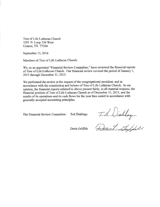Tree of Life Lutheran Church 3201 N. Loop 336 West Conroe, TX 77304

September 13, 2016

Members of Tree of Life Lutheran Church:

We, as an appointed "Financial Review Committee," have reviewed the financial reports of Tree of Life Lutheran Church. Our financial review covered the period of January 1, 2015 through December 31, 2015.

We performed the review at the request of the congregational president, and in accordance with the constitution and bylaws of Tree of Life Lutheran Church. In our opinion, the financial reports referred to above present fairly, in all material respects, the financial position of Tree of Life Lutheran Church as of December 31, 2015, and the results of its operations and its cash flows for the year then ended in accordance with generally accepted accounting principles.

The Financial Review Committee:

Ted Dinklage

M. Wintlage

Doris Griffith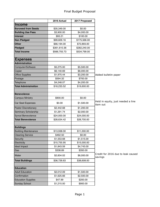|                             | 2016 Actual  | 2017 Proposed |                                                |
|-----------------------------|--------------|---------------|------------------------------------------------|
| <b>Income</b>               |              |               |                                                |
| <b>Borowed from Seeds</b>   | \$35,349.00  | \$0.00        |                                                |
| <b>Building Use Fees</b>    | \$3,900.00   | \$4,000.00    |                                                |
| Interest                    | \$93.21      | \$100.00      |                                                |
| <b>Non Pledged</b>          | \$99,609.16  | \$175,566.00  |                                                |
| <b>Other</b>                | \$66,194.00  | \$72,893.00   |                                                |
| Pledged                     | \$361,610.36 | \$282,240.00  |                                                |
| <b>Total Income</b>         | \$566,755.73 | \$534,799.00  |                                                |
|                             |              |               |                                                |
| <b>Expenses</b>             |              |               |                                                |
| Administration              |              |               |                                                |
| Computer/Software           | \$5,275.00   | \$5,500.00    |                                                |
| Copier                      | \$6,140.69   | \$6,000.00    |                                                |
| <b>Office Supplies</b>      | \$1,975.44   | \$3,200.00    | Added bulletin paper                           |
| Postage                     | \$594.32     | \$700.00      |                                                |
| Telephone                   | \$4,248.07   | \$4,200.00    |                                                |
| <b>Total Administration</b> | \$18,233.52  | \$19,600.00   |                                                |
|                             |              |               |                                                |
| <b>Benevolence</b>          |              |               |                                                |
| <b>Campus Ministry</b>      | \$900.00     | \$0.00        |                                                |
| Car Seat Expenses           | \$0.00       | \$1,500.00    | Held in equity, just needed a line<br>item out |
| <b>Pastor Discretionary</b> | \$2,442.68   | \$1,200.00    |                                                |
| Seminary Scholarship        | \$1,291.74   | \$2,000.00    |                                                |
| Synod Benevolence           | \$24,000.00  | \$24,000.00   |                                                |
| <b>Total Benevolence</b>    | \$28,634.42  | \$28,700.00   |                                                |
|                             |              |               |                                                |
| <b>Buildings</b>            |              |               |                                                |
| <b>Building Maintenance</b> | \$13,938.00  | \$11,000.00   |                                                |
| <b>Cleaning Service</b>     | \$462.50     | \$0.00        |                                                |
| Security                    | \$1,553.68   | \$1,515.00    |                                                |
| Electricity                 | \$15,755.95  | \$15,000.00   |                                                |
| <b>Ideal Impact</b>         | \$1,843.59   | \$4,743.00    |                                                |
| Gas                         | \$338.89     | \$350.00      |                                                |
| Water                       | \$2,834.02   | \$6,000.00    | Credit for 2016 due to leak caused<br>savings  |
| <b>Total Buildings</b>      | \$36,726.63  | \$38,608.00   |                                                |
|                             |              |               |                                                |
| <b>Education</b>            |              |               |                                                |
| <b>Adult Education</b>      | \$2,012.09   | \$1,500.00    |                                                |
| Confirmation                | \$1,625.66   | \$2,500.00    |                                                |
| <b>Education Supplies</b>   | \$47.99      | \$200.00      |                                                |
| Sunday School               | \$1,215.00   | \$900.00      |                                                |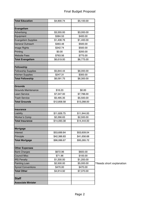| <b>Total Education</b>           | \$4,900.74  | \$5,100.00  |                          |
|----------------------------------|-------------|-------------|--------------------------|
|                                  |             |             |                          |
| <b>Evangelism</b><br>Advertising | \$3,355.93  | \$3,000.00  |                          |
| Equipment                        | \$384.53    | \$400.00    |                          |
| <b>Evangelism Supplies</b>       | \$1,408.76  | \$1,400.00  |                          |
| <b>General Outreach</b>          | \$363.48    | \$500.00    |                          |
| Image Rights                     | \$342.74    | \$500.00    |                          |
|                                  |             |             |                          |
| Printing<br><b>Website Fees</b>  | \$0.00      | \$200.00    |                          |
|                                  | \$763.56    | \$775.00    |                          |
| <b>Total Evangelism</b>          | \$6,619.00  | \$6,775.00  |                          |
| Fellowship                       |             |             |                          |
| <b>Fellowship Supplies</b>       | \$5,844.44  | \$6,000.00  |                          |
| <b>Kitchen Supplies</b>          | \$247.31    | \$300.00    |                          |
| <b>Total Fellowship</b>          | \$6,091.75  | \$6,300.00  |                          |
| <b>Grounds</b>                   |             |             |                          |
| <b>Grounds Maintenance</b>       | \$16.23     | \$0.00      |                          |
| <b>Lawn Service</b>              | \$7,347.00  | \$7,788.00  |                          |
| <b>Trash Service</b>             | \$5,495.35  | \$5,500.00  |                          |
| <b>Total Grounds</b>             | \$12,858.58 | \$13,288.00 |                          |
| <b>Insurance</b>                 |             |             |                          |
| Liability                        | \$11,826.75 | \$11,944.00 |                          |
| <b>Worker's Comp</b>             | \$2,266.63  | \$2,500.00  |                          |
| <b>Total Insurance</b>           | \$14,093.38 | \$14,444.00 |                          |
|                                  |             |             |                          |
| <b>Mortgage</b>                  |             |             |                          |
| Interest                         | \$53,699.84 | \$53,609.04 |                          |
| Principle                        | \$42,386.83 | \$41,656.68 |                          |
| <b>Total Mortgage</b>            | \$96,086.67 | \$95,265.72 |                          |
| <b>Other Expenses</b>            |             |             |                          |
| <b>Bank Charges</b>              | \$672.96    | \$600.00    |                          |
| <b>Council Misc</b>              | \$71.96     | \$100.00    |                          |
| <b>IRS Penalty</b>               | \$1,200.00  | \$1,200.00  |                          |
| <b>Painting Loan</b>             | \$2,500.00  | \$5,000.00  | *Needs short explanation |
| <b>Synod Conventions</b>         | \$470.00    | \$470.00    |                          |
| <b>Total Other</b>               | \$4,914.92  | \$7,370.00  |                          |
| <b>Staff</b>                     |             |             |                          |
| <b>Associate Minister</b>        |             |             |                          |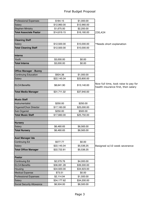| <b>Professional Expenses</b>  | \$184.15    | \$1,000.00  |                                                                             |
|-------------------------------|-------------|-------------|-----------------------------------------------------------------------------|
| Salary                        | \$12,960.00 | \$12,960.00 |                                                                             |
| Stephen Ministry              | \$1,675.00  | \$2,200.00  |                                                                             |
| <b>Total Associate Pastor</b> | \$14,819.15 | \$16,160.00 | 230,424                                                                     |
|                               |             |             |                                                                             |
| <b>Cleaning Staff</b>         |             |             |                                                                             |
| Salary                        | \$12,500.00 | \$10,000.00 | *Needs short explanation                                                    |
| <b>Total Cleaning Staff</b>   | \$12,500.00 | \$10,000.00 |                                                                             |
|                               |             |             |                                                                             |
| Interns                       |             |             |                                                                             |
| Youth                         | \$3,000.00  | \$0.00      |                                                                             |
| <b>Total Interns</b>          | \$3,000.00  | \$0.00      |                                                                             |
|                               |             |             |                                                                             |
| <b>Office Manager - Bunny</b> |             |             |                                                                             |
| Continuing Education          | \$924.38    | \$1,000.00  |                                                                             |
| Salary                        | \$22,145.04 | \$23,800.00 |                                                                             |
| <b>ELCA Benefits</b>          | \$8,641.90  | \$13,140.00 | Now full time, took raise to pay for<br>health insurance first, then salary |
| <b>Total Media Manager</b>    | \$31,711.32 | \$37,940.00 |                                                                             |
|                               |             |             |                                                                             |
| <b>Music Staff</b>            |             |             |                                                                             |
| Instrumentalist               | \$250.00    | \$250.00    |                                                                             |
| Organist/Choir Director       | \$17,160.00 | \$25,000.00 |                                                                             |
| Sub Organist                  | \$250.00    | \$500.00    |                                                                             |
| <b>Total Music Staff</b>      | \$17,660.00 | \$25,750.00 |                                                                             |
|                               |             |             |                                                                             |
| Nursery                       |             |             |                                                                             |
| Salary                        | \$6,460.65  | \$6,565.00  |                                                                             |
| <b>Total Nursery</b>          | \$6,460.65  | \$6,565.00  |                                                                             |
|                               |             |             |                                                                             |
| <b>Asst Manager Ida</b>       |             |             |                                                                             |
| <b>Continuing Ed</b>          | \$577.77    | \$0.00      |                                                                             |
| Salary                        | \$22,145.04 | \$5,536.25  | Resigned w/10 week severance                                                |
| <b>Total Office Manager</b>   | \$22,722.81 | \$5,536.25  |                                                                             |
|                               |             |             |                                                                             |
| Pastor                        |             |             |                                                                             |
| Continuing Ed                 | \$2,579.76  | \$4,000.00  |                                                                             |
| <b>ELCA Benefits</b>          | \$36,081.28 | \$39,300.00 |                                                                             |
| Housing                       | \$34,920.00 | \$34,923.00 |                                                                             |
| <b>Medical Expense</b>        | \$73.51     | \$0.00      |                                                                             |
| <b>Professional Expenses</b>  | \$2,114.94  | \$1,500.00  |                                                                             |
| Salary                        | \$34,177.62 | \$34,200.00 |                                                                             |
| Social Security Allowance     | \$6,504.00  | \$6,500.00  |                                                                             |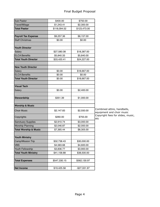| <b>Sub Pastor</b>                | \$400.00     | \$750.00      |                                                          |
|----------------------------------|--------------|---------------|----------------------------------------------------------|
| Travel/Milage                    | \$1,243.41   | \$2,300.00    |                                                          |
| <b>Total Pastor</b>              | \$118,094.52 | \$123,473.00  |                                                          |
|                                  |              |               |                                                          |
| <b>Payroll Tax Expense</b>       | \$9,257.36   | \$8,157.00    |                                                          |
| <b>Staff Christmas</b>           | \$0.00       | \$0.00        |                                                          |
|                                  |              |               |                                                          |
| <b>Youth Director</b>            |              |               |                                                          |
| Salary                           | \$27,580.08  | \$18,387.00   |                                                          |
| <b>ELCA Benefits</b>             | \$5,840.33   | \$5,840.00    |                                                          |
| <b>Total Youth Director</b>      | \$33,420.41  | \$24,227.00   |                                                          |
|                                  |              |               |                                                          |
| <b>New Youth Director</b>        |              |               |                                                          |
| Salary                           | \$0.00       | \$18,667.00   |                                                          |
| <b>ELCA Benefits</b>             | \$0.00       | \$0.00        |                                                          |
| <b>Total Youth Director</b>      | \$0.00       | \$18,667.00   |                                                          |
|                                  |              |               |                                                          |
| <b>Visual Tech</b>               |              |               |                                                          |
| Salary                           | \$0.00       | \$2,400.00    |                                                          |
|                                  |              |               |                                                          |
| <b>Stewardship</b>               | \$351.39     | \$1,000.00    |                                                          |
| <b>Worship &amp; Music</b>       |              |               |                                                          |
| <b>Choir Music</b>               | \$2,147.83   | \$2,550.00    | Combined attire, handbells,<br>equipment and choir music |
| Copyrights                       | \$260.00     | \$755.00      | Copyright fees for slides, music,<br>etc                 |
| <b>Sanctuary Supplies</b>        | \$2,910.74   | \$3,000.00    |                                                          |
| <b>Worship Planning</b>          | \$2,046.87   | \$2,000.00    |                                                          |
| <b>Total Worship &amp; Music</b> | \$7,365.44   | \$8,305.00    |                                                          |
| <b>Youth Ministry</b>            |              |               |                                                          |
| Camp/Mission Trip                | \$32,738.43  | \$30,000.00   |                                                          |
| <b>VBS</b>                       | \$4,583.68   | \$4,600.00    |                                                          |
| Youth Fellowship                 | \$3,836.77   | \$3,900.00    |                                                          |
| <b>Total Youth Ministry</b>      | \$41,158.88  | \$38,500.00   |                                                          |
|                                  |              |               |                                                          |
| <b>Total Expenses</b>            | \$547,330.15 | \$562,130.97  |                                                          |
|                                  |              |               |                                                          |
| <b>Net Income</b>                | \$19,425.58  | $-$27,331.97$ |                                                          |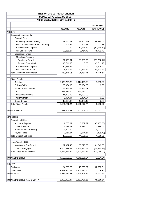|                                  |  |                                    | TREE OF LIFE LUTHERAN CHURCH     |              |                 |  |  |  |  |  |
|----------------------------------|--|------------------------------------|----------------------------------|--------------|-----------------|--|--|--|--|--|
| <b>COMPARATIVE BALANCE SHEET</b> |  |                                    |                                  |              |                 |  |  |  |  |  |
|                                  |  |                                    | AS OF DECEMBER 31, 2016 AND 2015 |              |                 |  |  |  |  |  |
|                                  |  |                                    |                                  |              | <b>INCREASE</b> |  |  |  |  |  |
|                                  |  |                                    | 12/31/16                         | 12/31/15     | (DECREASE)      |  |  |  |  |  |
| AS\$ETS                          |  |                                    |                                  |              |                 |  |  |  |  |  |
|                                  |  | Cash and Investments:              |                                  |              |                 |  |  |  |  |  |
|                                  |  | General Fund:                      |                                  |              |                 |  |  |  |  |  |
|                                  |  | <b>Operating Fund Checking</b>     | 22,135.21                        | (7,063.17)   | 29,198.38       |  |  |  |  |  |
|                                  |  | Mission Investment Fund Checking   | 101.66                           | 101.28       | 0.38            |  |  |  |  |  |
|                                  |  | <b>Certificates of Deposit</b>     | 0.00                             | 10,726.59    | (10, 726.59)    |  |  |  |  |  |
|                                  |  | <b>Total General Fund</b>          | 22,236.87                        | 3,764.70     | 18,472.17       |  |  |  |  |  |
|                                  |  | Dedicated Funds:                   |                                  |              |                 |  |  |  |  |  |
|                                  |  | <b>Checking Account:</b>           |                                  |              |                 |  |  |  |  |  |
|                                  |  | Seeds for Growth                   | 51,878.61                        | 90,665.75    | (38, 787.14)    |  |  |  |  |  |
|                                  |  | Pastor's Sabbatical                | 45,611.16                        | 0.00         | 45,611.16       |  |  |  |  |  |
|                                  |  | <b>Certificates of Deposit</b>     | 10,819.42                        | 0.00         | 10,819.42       |  |  |  |  |  |
|                                  |  | <b>Total Dedicated Funds</b>       | 108,309.19                       | 90,665.75    | 17,643.44       |  |  |  |  |  |
|                                  |  | Total Cash and Investments         | 130,546.06                       | 94,430.45    | 36,115.61       |  |  |  |  |  |
|                                  |  |                                    |                                  |              |                 |  |  |  |  |  |
|                                  |  | <b>Fixed Assets</b>                |                                  |              |                 |  |  |  |  |  |
|                                  |  | <b>Buildings</b>                   | 2,623,725.23                     | 2,614,475.23 | 9,250.00        |  |  |  |  |  |
|                                  |  | Children's Park                    | 66,964.80                        | 66,964.80    | 0.00            |  |  |  |  |  |
|                                  |  | Furniture & Equipment              | 63,983.67                        | 63,983.67    | 0.00            |  |  |  |  |  |
|                                  |  | Land                               | 411,021.00                       | 411,021.00   | 0.00            |  |  |  |  |  |
|                                  |  | <b>Musical Instruments</b>         | 87,000.00                        | 87,000.00    | 0.00            |  |  |  |  |  |
|                                  |  | Prayer Garden                      | 3,424.94                         | 3,424.94     | 0.00            |  |  |  |  |  |
|                                  |  | Sound System                       | 42,436.47                        | 42,436.47    | 0.00            |  |  |  |  |  |
|                                  |  | <b>Total Fixed Assets</b>          | 3,298,556.11                     | 3,289,306.11 | 9,250.00        |  |  |  |  |  |
|                                  |  |                                    |                                  |              |                 |  |  |  |  |  |
|                                  |  | <b>TOTAL ASSETS</b>                | 3,429,102.17                     | 3,383,736.56 | 45,365.61       |  |  |  |  |  |
|                                  |  |                                    |                                  |              |                 |  |  |  |  |  |
| <b>LIABILITIES</b>               |  |                                    |                                  |              |                 |  |  |  |  |  |
|                                  |  | <b>Current Liabilities</b>         |                                  |              |                 |  |  |  |  |  |
|                                  |  | <b>Accounts Payable</b>            | 1,753.29                         | 5,689.79     | (3,936.50)      |  |  |  |  |  |
|                                  |  | <b>Water to Thrive</b>             | 4,192.09                         | 2,992.53     | 1,199.56        |  |  |  |  |  |
|                                  |  | <b>Sunday School Painting</b>      | 5,000.00                         | 0.00         | 5,000.00        |  |  |  |  |  |
|                                  |  | Payroll Taxes                      | 2,637.67                         | 2,944.37     | (306.70)        |  |  |  |  |  |
|                                  |  | <b>Total Current Liabilities</b>   | 13,583.05                        | 11,626.69    | 1,956.36        |  |  |  |  |  |
|                                  |  |                                    |                                  |              |                 |  |  |  |  |  |
|                                  |  | Long Term Liabilities              |                                  |              |                 |  |  |  |  |  |
|                                  |  | New Seeds For Growth               | 92,077.46                        | 50,728.63    | 41,348.83       |  |  |  |  |  |
|                                  |  | Church Mortgage                    | 1,400,847.69                     | 1,453,234.52 | (52, 386.83)    |  |  |  |  |  |
|                                  |  | <b>Total Long Term Liabilities</b> | 1,492,925.15                     | 1,503,963.15 | (11, 038.00)    |  |  |  |  |  |
|                                  |  |                                    |                                  |              |                 |  |  |  |  |  |
|                                  |  | <b>TOTAL LIABILITIES</b>           | 1,506,508.20                     | 1,515,589.84 | (9,081.64)      |  |  |  |  |  |
|                                  |  |                                    |                                  |              |                 |  |  |  |  |  |
| <b>EQUITY</b>                    |  |                                    |                                  |              |                 |  |  |  |  |  |
|                                  |  | Dedicated                          | 34,705.70                        | 16,768.39    | 17,937.31       |  |  |  |  |  |
|                                  |  | Unrestricted                       | 1,887,888.27                     | 1,851,378.33 | 36,509.94       |  |  |  |  |  |
|                                  |  | TOTAL EQUITY                       | 1,922,593.97                     | 1,868,146.72 | 54,447.25       |  |  |  |  |  |
|                                  |  |                                    |                                  |              |                 |  |  |  |  |  |
|                                  |  | TOTAL LIABILITIES AND EQUITY       | 3,429,102.17                     | 3,383,736.56 | 45,365.61       |  |  |  |  |  |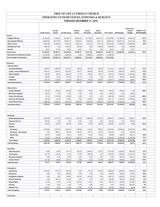#### **TREE OF LIFE LUTHERAN CHURCH OPERATING FUND REVENUES, EXPENSES & BUDGETS**

#### **THROUGH DECEMBER 31, 2016**

|                                     |                |                    |                |                   |                    |                    |                   |             | Actual Over /            | Actual % of |  |
|-------------------------------------|----------------|--------------------|----------------|-------------------|--------------------|--------------------|-------------------|-------------|--------------------------|-------------|--|
|                                     | 1st Qtr Actual | 2nd Qtr.<br>Actual | 3rd Qtr Actual | October<br>Actual | Actual<br>November | Actual<br>December | <b>YTD Actual</b> | 2016 Budget | (Under)<br><b>Budget</b> | 2016 Budget |  |
| Income:                             |                |                    |                |                   |                    |                    |                   |             |                          |             |  |
| <b>Pledged Offering</b>             | 90,169.69      | 77,548.44          | 92,436.01      | 29,004.00         | 23,770.99          | 48,431.23          | 361,360.36        | 337,360.00  | 24,000.36                | 107%        |  |
| <b>Non-pledged Offering</b>         | 24,589.45      | 25,614.98          | 20,583.77      | 9,630.81          | 9,622.96           | 9,817.19           | 99,859.16         | 102,537.00  | (2,677.84)               | 97%         |  |
| Other Income                        | 14,879.56      | 27,380.62          | 8,923.50       | 5,934.43          | 3,319.10           | 5,757.19           | 66,194.40         | 77,000.00   | (10,805.60)              | 86%         |  |
| <b>Building Use Fees</b>            | 1,600.00       | 0.00               | 1,400.00       | 300.00            | 0.00               | 600.00             | 3,900.00          | 0.00        | 3,900.00                 |             |  |
| Interest                            | 23.33          | 23.19              | 23.22          | 23.23             | 0.21               | 0.03               | 93.21             | 0.00        | 93.21                    |             |  |
| <b>Total Income</b>                 | 131,262.03     | 130.567.23         | 123,366.50     | 44.892.47         | 36,713.26          | 64,605.64          | 531.407.13        | 516.897.00  | 14,510.13                | 103%        |  |
| Borrowed from (Repaid to) Seeds     | 12.154.50      | 11,990.30          | 6,204.20       | 0.00              | 5,999.83           | 5,000.00           | 41,348.83         |             |                          |             |  |
| <b>Total Available for Spending</b> | 143,416.53     | 142,557.53         | 129,570.70     | 44,892.47         | 42,713.09          | 69,605.64          | 572,755.96        |             |                          |             |  |
|                                     |                |                    |                |                   |                    |                    |                   |             |                          |             |  |
| <b>Expenses:</b>                    |                |                    |                |                   |                    |                    |                   |             |                          |             |  |
| <b>Administration:</b>              |                |                    |                |                   |                    |                    |                   |             |                          |             |  |
| <b>Computer/Software</b>            | 1,280.07       | 1,609.66           | 1,274.07       | 429.03            | 376.23             | 305.55             | 5,274.61          | 4,500.00    | 774.61                   | 117%        |  |
| Copier, Lease & Maintenance         | 1,642.14       | 1,463.37           | 1,381.82       | 136.17            | 846.56             | 670.63             | 6,140.69          | 5,500.00    | 640.69                   | 112%        |  |
| <b>Office Supplies</b>              | 304.89         | 164.35             | 666.39         | 41.23             | 403.39             | 395.19             | 1,975.44          | 3,000.00    | (1,024.56)               | 66%         |  |
| Postage                             | 299.25         | 73.34              | 120.00         | 101.73            | 0.00               | 0.00               | 594.32            | 700.00      | (105.68)                 | 85%         |  |
| Telephone                           | 1,214.10       | 1,143.55           | 1,111.09       | 365.87            | 191.46             | 222.00             | 4,248.07          | 3,900.00    | 348.07                   | 109%        |  |
| <b>Total Administration</b>         | 4,740.45       | 4,454.27           | 4,553.37       | 1,074.03          | 1,817.64           | 1,593.37           | 18,233.13         | 17,600.00   | 633.13                   | 104%        |  |
|                                     |                |                    |                |                   |                    |                    |                   |             |                          |             |  |
| Benevolence:                        |                |                    |                |                   |                    |                    |                   |             |                          |             |  |
| <b>Campus Ministry</b>              | 225.00         | 225.00             | 225.00         | 75.00             | 75.00              | 75.00              | 900.00            | 900.00      | 0.00                     | 100%        |  |
| <b>Missionary Support</b>           | 100.00         | 0.00               | 0.00           | 0.00              | 0.00               | 0.00               | 100.00            | 0.00        | 100.00                   |             |  |
| <b>Pastor Discretionary</b>         | 172.14         | 1,791.66           | 478.88         | 0.00              | 0.00               | 0.00               | 2,442.68          | 1,200.00    | 1,242.68                 | 204%        |  |
| <b>Seminary Scholarship</b>         | 229.38         | 178.46             | 119.80         | 17.54             | 539.94             | 206.62             | 1,291.74          | 3,000.00    | (1,708.26)               | 43%         |  |
| <b>Synod Benevolence</b>            | 6,000.00       | 6,000.00           | 6,000.00       | 2,000.00          | 2,000.00           | 2,000.00           | 24,000.00         | 24,000.00   | 0.00                     | 100%        |  |
| <b>Total Benevolence</b>            | 6,726.52       | 8,195.12           | 6,823.68       | 2,092.54          | 2,614.94           | 2,281.62           | 28,734.42         | 29,100.00   | (365.58)                 | 99%         |  |
|                                     |                |                    |                |                   |                    |                    |                   |             |                          |             |  |
|                                     |                |                    |                |                   |                    |                    |                   |             |                          |             |  |
|                                     |                |                    |                |                   |                    |                    |                   |             |                          |             |  |
| <b>Buildings:</b>                   |                |                    |                |                   |                    |                    |                   |             |                          |             |  |
| <b>Building Maintenance</b>         | 3,359.59       | 3,271.22           | 1,493.89       | 1,234.46          | 3,299.88           | 1,227.43           | 13,886.47         | 11,000.00   | 2,886.47                 | 126%        |  |
| <b>Cleaning Service</b>             | 462.50         | 0.00               | 0.00           | 0.00              | 0.00               | 0.00               | 462.50            | 0.00        | 462.50                   |             |  |
| Security                            | 376.07         | 376.07             | 406.09         | 70.00             | 70.00              | 255.45             | 1,553.68          | 1,515.00    | 38.68                    | 103%        |  |
| Utilities:                          |                |                    |                |                   |                    |                    |                   |             |                          |             |  |
| Electricity                         | 5,439.06       | 3,237.67           | 4,039.33       | 1,168.08          | 912.84             | 958.97             | 15,755.95         | 18,000.00   | (2,244.05)               | 88%         |  |
| <b>Electricity - Ideal Impact</b>   | 0.00           | 669.51             | 481.28         | 265.00            | 100.77             | 327.03             | 1,843.59          | 0.00        | 1,843.59                 |             |  |
| <b>Natural Gas</b>                  | 154.47         | 59.88              | 59.21          | 19.22             | 19.57              | 26.54              | 338.89            | 525.00      | (186.11)                 | 65%         |  |
| Water                               | 140.00         | 236.29             | 1,853.93       | 306.37            | 297.43             | 0.00               | 2,834.02          | 5,000.00    | (2, 165.98)              | 57%         |  |
| <b>Total Utilities</b>              | 5,733.53       | 4,203.35           | 6,433.75       | 1,758.67          | 1,330.61           | 1,312.54           | 20,772.45         | 23,525.00   | (2,752.55)               | 88%         |  |
| <b>Total Buildings</b>              | 9,931.69       | 7,850.64           | 8,333.73       | 3,063.13          | 4,700.49           | 2,795.42           | 36,675.10         | 36,040.00   | 635.10                   | 102%        |  |
|                                     |                |                    |                |                   |                    |                    |                   |             |                          |             |  |
| <b>Education:</b>                   |                |                    |                |                   |                    |                    |                   |             |                          |             |  |
| <b>Adult Education</b>              | 70.00          | 118.59             | 141.14         | 223.32            | 1,246.53           | 212.51             | 2,012.09          | 3,000.00    | (987.91)                 | 67%         |  |
| Confirmation                        | 301.19         | 613.58             | 67.84          | 34.56             | 608.49             | 0.00               | 1,625.66          | 3,200.00    | (1,574.34)               | 51%         |  |
| <b>Education Supplies</b>           | 0.00           | 0.00               | 47.99          | 0.00              | 0.00               | 0.00               | 47.99             | 200.00      | (152.01)                 | 24%         |  |
| <b>Sunday School</b>                | 371.94         | 46.38              | 424.72         | 0.00              | 0.00               | 371.96             | 1,215.00          | 900.00      | 315.00                   | 135%        |  |
| <b>Total Education</b>              | 743.13         | 778.55             | 681.69         | 257.88            | 1,855.02           | 584.47             | 4,900.74          | 7,300.00    | (2,399.26)               | 67%         |  |
|                                     |                |                    |                |                   |                    |                    |                   |             |                          |             |  |
| Evangelism:                         |                |                    |                |                   |                    |                    |                   |             |                          |             |  |
| Advertising                         | 1,014.83       | 817.61             | 653.25         | 0.00              | 170.19             | 700.05             | 3,355.93          | 4,200.00    | (844.07)                 | 80%         |  |
| Equipment                           | 0.00           | 0.00               | 384.53         | 0.00              | 0.00               | 0.00               | 384.53            | 400.00      | (15.47)                  | 96%         |  |
| <b>Evangelism Supplies</b>          | 0.00           | 0.00               | 108.40         | 619.34            | 681.02             | 0.00               | 1,408.76          | 1,500.00    | (91.24)                  | 94%         |  |
| General Outreach                    | 0.00           | 230.10             | 133.38         | 0.00              | 0.00               | 0.00               | 363.48            | 500.00      | (136.52)                 | 73%         |  |
| Image Rights                        | 31.83          | 31.83              | 31.83          |                   |                    | 10.61              | 342.74            | 500.00      |                          | 69%         |  |
|                                     |                |                    |                | 226.03            | 10.61              |                    |                   |             | (157.26)                 |             |  |
| Printing                            | 0.00           | 0.00               | 0.00           | 0.00              | 0.00               | 0.00               | 0.00              | 200.00      | (200.00)                 | 0%          |  |
| <b>Website Fees</b>                 | 328.21         | 72.92              | 172.46         | 174.19            | 15.78              | 0.00               | 763.56            | 700.00      | 63.56                    | 109%        |  |
| <b>Total Evangelism</b>             | 1,374.87       | 1,152.46           | 1,483.85       | 1,019.56          | 877.60             | 710.66             | 6,619.00          | 8,000.00    | (1,381.00)               | 83%         |  |
|                                     |                |                    |                |                   |                    |                    |                   |             |                          |             |  |
| Fellowship:                         |                |                    |                |                   |                    |                    |                   |             |                          |             |  |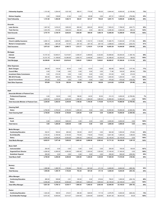| <b>Fellowship Supplies</b>                                  | 1,151.60             | 1,254.40           | 1,521.09           | 382.01             | 775.09             | 760.25             | 5,844.44              | 8,000.00              | (2, 155.56)          | 73%         |  |
|-------------------------------------------------------------|----------------------|--------------------|--------------------|--------------------|--------------------|--------------------|-----------------------|-----------------------|----------------------|-------------|--|
|                                                             |                      |                    |                    |                    |                    |                    |                       |                       |                      |             |  |
| <b>Kitchen Supplies</b>                                     | 0.00                 | 139.69             | 41.64              | 0.00               | 65.98              | 0.00               | 247.31                | 1,000.00              | (752.69)             | 25%         |  |
| <b>Total Fellowship</b>                                     | 1,151.60             | 1,394.09           | 1,562.73           | 382.01             | 841.07             | 760.25             | 6,091.75              | 9.000.00              | (2,908.25)           | 68%         |  |
|                                                             |                      |                    |                    |                    |                    |                    |                       |                       |                      |             |  |
| Grounds:<br><b>Lawn Service</b>                             | 1,947.00             | 1,816.23           | 1,800.00           | 600.00             | 600.00             | 600.00             | 7,363.23              | 7,788.00              |                      | 95%         |  |
| <b>Trash Service</b>                                        | 1,810.78             | 913.56             | 1,842.03           | 462.80             | 0.00               | 466.18             | 5,495.35              | 4,500.00              | (424.77)<br>995.35   | 122%        |  |
| <b>Total Grounds</b>                                        | 3,757.78             | 2,729.79           | 3,642.03           | 1,062.80           | 600.00             | 1,066.18           | 12,858.58             | 12,288.00             | 570.58               | 105%        |  |
|                                                             |                      |                    |                    |                    |                    |                    |                       |                       |                      |             |  |
| Insurance:                                                  |                      |                    |                    |                    |                    |                    |                       |                       |                      |             |  |
| <b>Church Liability Insurance</b>                           | 3,393.12             | 2,262.08           | 2,858.16           | 1,104.98           | 1,103.72           | 1,104.69           | 11,826.75             | 11,944.00             | (117.25)             | 99%         |  |
| <b>Worker's Compensation</b>                                | 580.20               | 327.29             | 737.57             | 207.19             | 207.19             | 207.19             | 2,266.63              | 2,500.00              | (233.37)             | 91%         |  |
| <b>Total Insurance</b>                                      | 3,973.32             | 2,589.37           | 3,595.73           | 1,312.17           | 1,310.91           | 1,311.88           | 14,093.38             | 14,444.00             | (350.62)             | 98%         |  |
|                                                             |                      |                    |                    |                    |                    |                    |                       |                       |                      |             |  |
| Mortgage:                                                   |                      |                    |                    |                    |                    |                    |                       |                       |                      |             |  |
| Interest                                                    | 14, 157.24           | 12,945.01          | 13,419.87          | 4,355.07           | 4,489.85           | 4,332.80           | 53,699.84             | 55,000.00             | (1,300.16)           | 98%         |  |
| Principal                                                   | 10,151.76            | 11,199.80          | 10,396.56          | 3,583.74           | 3,448.96           | 3,606.01           | 42,386.83             | 42,200.00             | 186.83               | 100%        |  |
| <b>Total Mortgage</b>                                       | 24,309.00            | 24,144.81          | 23,816.43          | 7,938.81           | 7,938.81           | 7,938.81           | 96,086.67             | 97,200.00             | (1, 113.33)          | 99%         |  |
|                                                             |                      |                    |                    |                    |                    |                    |                       |                       |                      |             |  |
| <b>Other Expenses:</b>                                      |                      |                    |                    |                    |                    |                    |                       |                       |                      |             |  |
| <b>Bank Charges</b>                                         | 206.08               | 130.04             | 83.04              | 0.00<br>0.00       | 43.50              | 0.00               | 462.66                | 600.00                | (137.34)             | 77%<br>72%  |  |
| <b>Council Misc</b><br><b>Investment Sales Commission</b>   | 0.00<br>0.00         | 71.96<br>210.30    | 0.00<br>0.00       | 0.00               | 0.00<br>0.00       | 0.00<br>0.00       | 71.96<br>210.30       | 100.00<br>0.00        | (28.04)<br>210.30    |             |  |
| IRS 2010 Penalty                                            | 300.00               | 300.00             | 300.00             | 100.00             | 100.00             | 100.00             | 1,200.00              | 1,200.00              | 0.00                 | 100%        |  |
| <b>Synod Conventions</b>                                    | 470.00               | 0.00               | 0.00               | 0.00               | 0.00               | 0.00               | 470.00                | 570.00                | (100.00)             | 82%         |  |
| <b>Total Other Expenses</b>                                 | 976.08               | 712.30             | 383.04             | 100.00             | 143.50             | 100.00             | 2,414.92              | 2,470.00              | (55.08)              | 98%         |  |
|                                                             |                      |                    |                    |                    |                    |                    |                       |                       |                      |             |  |
|                                                             |                      |                    |                    |                    |                    |                    |                       |                       |                      |             |  |
| Staff:                                                      |                      |                    |                    |                    |                    |                    |                       |                       |                      |             |  |
| Associate Minister of Pastoral Care:                        |                      |                    |                    |                    |                    |                    |                       |                       |                      |             |  |
| <b>Professional Expenses</b>                                | 0.00                 | 52.83              | 0.00               | 106.82             | 24.50              | 30.00              | 214.15                | 3,000.00              | (2,785.85)           | 7%          |  |
| Salary                                                      | 3,240.00             | 3,240.00           | 3,240.00           | 1,080.00           | 1,080.00           | 1,080.00           | 12,960.00             | 12,960.00             | 0.00                 | 100%        |  |
| <b>Total Associate Minister of Pastoral Care</b>            | 3,240.00             | 3,292.83           | 3,240.00           | 1,186.82           | 1,104.50           | 1,110.00           | 13,174.15             | 15,960.00             | (2,785.85)           | 83%         |  |
|                                                             |                      |                    |                    |                    |                    |                    |                       |                       |                      |             |  |
|                                                             |                      |                    |                    |                    |                    |                    |                       |                       |                      |             |  |
| <b>Cleaning Staff:</b>                                      |                      |                    |                    |                    |                    |                    |                       |                       |                      |             |  |
| Salary                                                      | 3,750.00             | 3,750.00           | 3,750.00           | 1,250.00           | 0.00               | 0.00               | 12,500.00             | 15,000.00             | (2,500.00)           | 83%         |  |
| <b>Total Cleaning Staff</b>                                 | 3,750.00             | 3,750.00           | 3,750.00           | 1,250.00           | 0.00               | 0.00               | 12,500.00             | 15,000.00             | (2,500.00)           | 83%         |  |
|                                                             |                      |                    |                    |                    |                    |                    |                       |                       |                      |             |  |
| Interns:                                                    |                      |                    |                    |                    |                    |                    |                       |                       |                      |             |  |
| Youth                                                       | 0.00                 | 1,200.00           | 1,800.00           | 0.00               | 0.00               | 0.00               | 3,000.00              | 3,000.00              | 0.00                 | 100%        |  |
| <b>Total Interns</b>                                        | 0.00                 | 1,200.00           | 1,800.00           | 0.00               | 0.00               | 0.00               | 3,000.00              | 3,000.00              | 0.00                 | 100%        |  |
| <b>Media Manager:</b>                                       |                      |                    |                    |                    |                    |                    |                       |                       |                      |             |  |
| <b>Continuing Education</b>                                 | 332.91               | 160.64             | 265.26             | 120.00             | 45.57              | 0.00               | 924.38                | 1,000.00              | (75.62)              | 92%         |  |
| <b>ELCA Benefits</b>                                        | 2,153.34             | 2,180.56           | 2,154.00           | 718.00             | 718.00             | 718.00             | 8,641.90              | 7,285.00              | 1,356.90             | 119%        |  |
| Salary                                                      | 5,536.26             | 5,536.26           | 5,536.26           | 1,845.42           | 1,845.42           | 1,845.42           | 22,145.04             | 22,145.00             | 0.04                 | 100%        |  |
| <b>Total Media Manager</b>                                  | 8,022.51             | 7,877.46           | 7,955.52           | 2,683.42           | 2,608.99           | 2,563.42           | 31,711.32             | 30,430.00             | 1,281.32             | 104%        |  |
|                                                             |                      |                    |                    |                    |                    |                    |                       |                       |                      |             |  |
| <b>Music Staff:</b>                                         |                      |                    |                    |                    |                    |                    |                       |                       |                      |             |  |
| Instrumentalist                                             | 250.00               | 0.00               | 0.00               | 0.00               | 0.00               | 0.00               | 250.00                | 150.00                | 100.00               | 167%        |  |
| <b>Organist/Choir Director</b>                              | 4,290.00             | 4,290.00           | 4,290.00           | 1,650.00           | 1,320.00           | 1,320.00           | 17,160.00             | 17,160.00             | 0.00                 | 100%        |  |
| <b>Substitute Organist</b>                                  | 250.00               | 0.00               | 0.00               | 0.00               | 0.00               | 0.00               | 250.00                | 500.00                | (250.00)             | 50%         |  |
| <b>Total Music Staff</b>                                    | 4,790.00             | 4,290.00           | 4,290.00           | 1,650.00           | 1,320.00           | 1,320.00           | 17,660.00             | 17,810.00             | (150.00)             | 99%         |  |
|                                                             |                      |                    |                    |                    |                    |                    |                       |                       |                      |             |  |
|                                                             |                      |                    |                    |                    |                    |                    |                       |                       |                      |             |  |
| Nursery:<br>Salary                                          | 1,595.96             | 1,395.79           | 1,752.84           | 703.30             | 601.60             | 411.16             | 6,460.65              | 6,844.00              |                      | 94%         |  |
| <b>Total Nursery</b>                                        | 1,595.96             | 1,395.79           | 1,752.84           | 703.30             | 601.60             | 411.16             | 6,460.65              | 6,844.00              | (383.35)<br>(383.35) | 94%         |  |
|                                                             |                      |                    |                    |                    |                    |                    |                       |                       |                      |             |  |
| <b>Office Manager:</b>                                      |                      |                    |                    |                    |                    |                    |                       |                       |                      |             |  |
| <b>Continuing Education</b>                                 | 285.00               | 169.86             | 2.91               | 120.00             | 0.00               | 218.04             | 795.81                | 1,000.00              | (204.19)             | 80%         |  |
| <b>Salary</b>                                               | 5,536.26             | 5,536.26           | 5,536.26           | 1,845.42           | 1,845.42           | 1,845.42           | 22,145.04             | 22,145.03             | 0.01                 | 100%        |  |
| <b>Total Office Manager</b>                                 | 5,821.26             | 5,706.12           | 5,539.17           | 1,965.42           | 1,845.42           | 2,063.46           | 22,940.85             | 23,145.03             | (204.18)             | 99%         |  |
|                                                             |                      |                    |                    |                    |                    |                    |                       |                       |                      |             |  |
| Pastor:                                                     |                      |                    |                    |                    |                    |                    |                       |                       |                      |             |  |
| <b>Continuing Education</b><br><b>ELCA Benefits Package</b> | 1,024.20<br>9,072.30 | 189.50<br>8,955.84 | 216.01<br>9,014.07 | 406.36<br>3,004.69 | 626.50<br>3,004.69 | 117.19<br>3,029.69 | 2,579.76<br>36,081.28 | 3,500.00<br>36,043.00 | (920.24)<br>38.28    | 74%<br>100% |  |